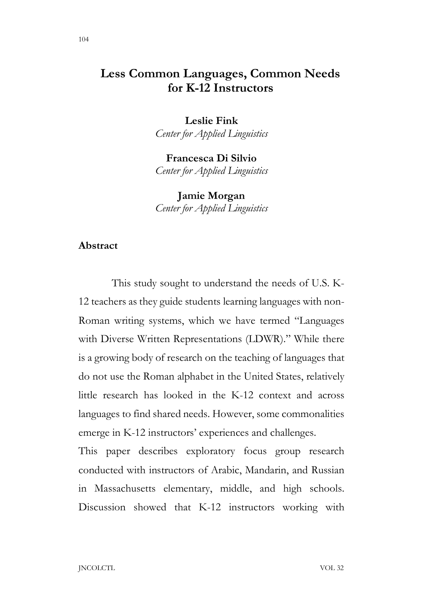Leslie Fink Center for Applied Linguistics

Francesca Di Silvio Center for Applied Linguistics

Jamie Morgan Center for Applied Linguistics

#### Abstract

 This study sought to understand the needs of U.S. K-12 teachers as they guide students learning languages with non-Roman writing systems, which we have termed "Languages with Diverse Written Representations (LDWR)." While there is a growing body of research on the teaching of languages that do not use the Roman alphabet in the United States, relatively little research has looked in the K-12 context and across languages to find shared needs. However, some commonalities emerge in K-12 instructors' experiences and challenges.

This paper describes exploratory focus group research conducted with instructors of Arabic, Mandarin, and Russian in Massachusetts elementary, middle, and high schools. Discussion showed that K-12 instructors working with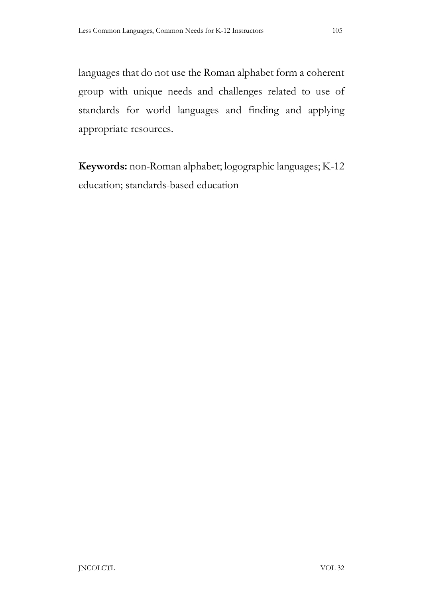languages that do not use the Roman alphabet form a coherent group with unique needs and challenges related to use of standards for world languages and finding and applying appropriate resources.

Keywords: non-Roman alphabet; logographic languages; K-12 education; standards-based education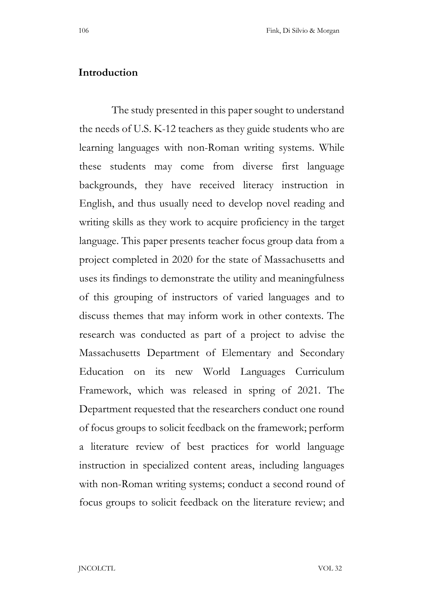## Introduction

 The study presented in this paper sought to understand the needs of U.S. K-12 teachers as they guide students who are learning languages with non-Roman writing systems. While these students may come from diverse first language backgrounds, they have received literacy instruction in English, and thus usually need to develop novel reading and writing skills as they work to acquire proficiency in the target language. This paper presents teacher focus group data from a project completed in 2020 for the state of Massachusetts and uses its findings to demonstrate the utility and meaningfulness of this grouping of instructors of varied languages and to discuss themes that may inform work in other contexts. The research was conducted as part of a project to advise the Massachusetts Department of Elementary and Secondary Education on its new World Languages Curriculum Framework, which was released in spring of 2021. The Department requested that the researchers conduct one round of focus groups to solicit feedback on the framework; perform a literature review of best practices for world language instruction in specialized content areas, including languages with non-Roman writing systems; conduct a second round of focus groups to solicit feedback on the literature review; and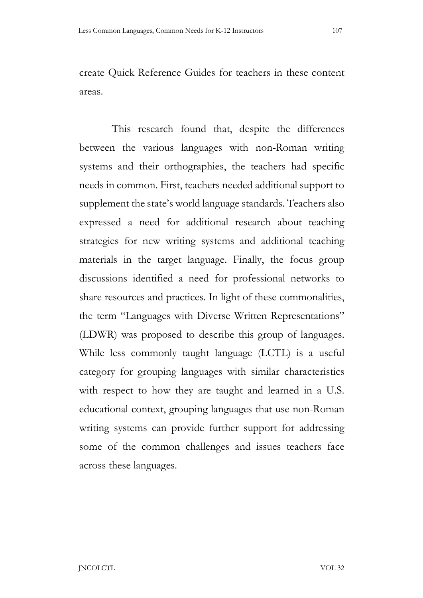create Quick Reference Guides for teachers in these content areas.

 This research found that, despite the differences between the various languages with non-Roman writing systems and their orthographies, the teachers had specific needs in common. First, teachers needed additional support to supplement the state's world language standards. Teachers also expressed a need for additional research about teaching strategies for new writing systems and additional teaching materials in the target language. Finally, the focus group discussions identified a need for professional networks to share resources and practices. In light of these commonalities, the term "Languages with Diverse Written Representations" (LDWR) was proposed to describe this group of languages. While less commonly taught language (LCTL) is a useful category for grouping languages with similar characteristics with respect to how they are taught and learned in a U.S. educational context, grouping languages that use non-Roman writing systems can provide further support for addressing some of the common challenges and issues teachers face across these languages.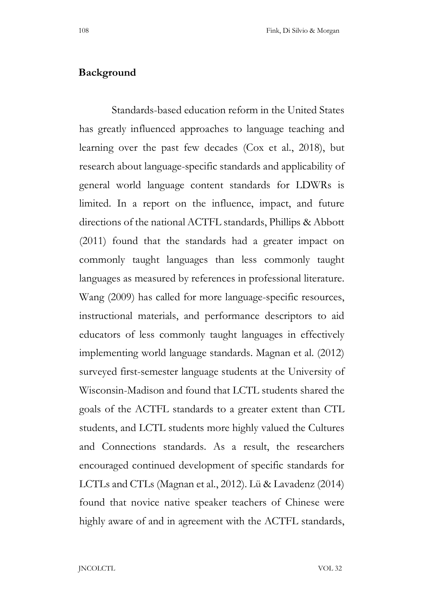### Background

 Standards-based education reform in the United States has greatly influenced approaches to language teaching and learning over the past few decades (Cox et al., 2018), but research about language-specific standards and applicability of general world language content standards for LDWRs is limited. In a report on the influence, impact, and future directions of the national ACTFL standards, Phillips & Abbott (2011) found that the standards had a greater impact on commonly taught languages than less commonly taught languages as measured by references in professional literature. Wang (2009) has called for more language-specific resources, instructional materials, and performance descriptors to aid educators of less commonly taught languages in effectively implementing world language standards. Magnan et al. (2012) surveyed first-semester language students at the University of Wisconsin-Madison and found that LCTL students shared the goals of the ACTFL standards to a greater extent than CTL students, and LCTL students more highly valued the Cultures and Connections standards. As a result, the researchers encouraged continued development of specific standards for LCTLs and CTLs (Magnan et al., 2012). Lü & Lavadenz (2014) found that novice native speaker teachers of Chinese were highly aware of and in agreement with the ACTFL standards,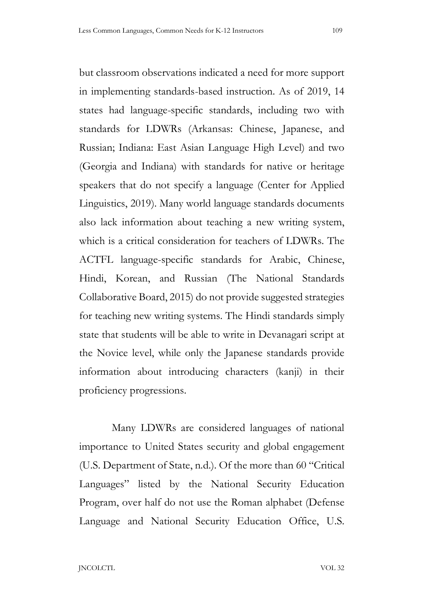but classroom observations indicated a need for more support in implementing standards-based instruction. As of 2019, 14 states had language-specific standards, including two with standards for LDWRs (Arkansas: Chinese, Japanese, and Russian; Indiana: East Asian Language High Level) and two (Georgia and Indiana) with standards for native or heritage speakers that do not specify a language (Center for Applied Linguistics, 2019). Many world language standards documents also lack information about teaching a new writing system, which is a critical consideration for teachers of LDWRs. The ACTFL language-specific standards for Arabic, Chinese, Hindi, Korean, and Russian (The National Standards Collaborative Board, 2015) do not provide suggested strategies for teaching new writing systems. The Hindi standards simply state that students will be able to write in Devanagari script at the Novice level, while only the Japanese standards provide information about introducing characters (kanji) in their proficiency progressions.

 Many LDWRs are considered languages of national importance to United States security and global engagement (U.S. Department of State, n.d.). Of the more than 60 "Critical Languages" listed by the National Security Education Program, over half do not use the Roman alphabet (Defense Language and National Security Education Office, U.S.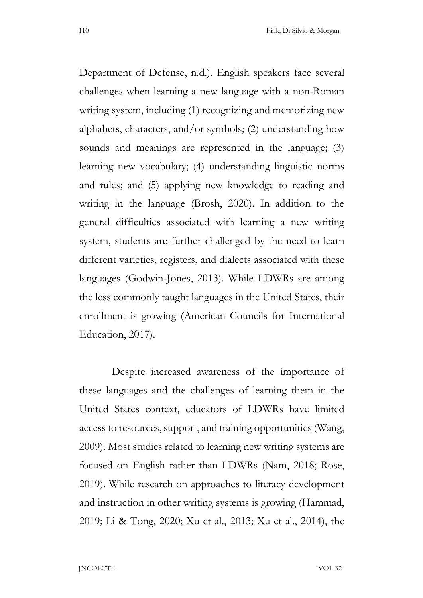Department of Defense, n.d.). English speakers face several challenges when learning a new language with a non-Roman writing system, including (1) recognizing and memorizing new alphabets, characters, and/or symbols; (2) understanding how sounds and meanings are represented in the language; (3) learning new vocabulary; (4) understanding linguistic norms and rules; and (5) applying new knowledge to reading and writing in the language (Brosh, 2020). In addition to the general difficulties associated with learning a new writing system, students are further challenged by the need to learn different varieties, registers, and dialects associated with these languages (Godwin-Jones, 2013). While LDWRs are among the less commonly taught languages in the United States, their enrollment is growing (American Councils for International Education, 2017).

 Despite increased awareness of the importance of these languages and the challenges of learning them in the United States context, educators of LDWRs have limited access to resources, support, and training opportunities (Wang, 2009). Most studies related to learning new writing systems are focused on English rather than LDWRs (Nam, 2018; Rose, 2019). While research on approaches to literacy development and instruction in other writing systems is growing (Hammad, 2019; Li & Tong, 2020; Xu et al., 2013; Xu et al., 2014), the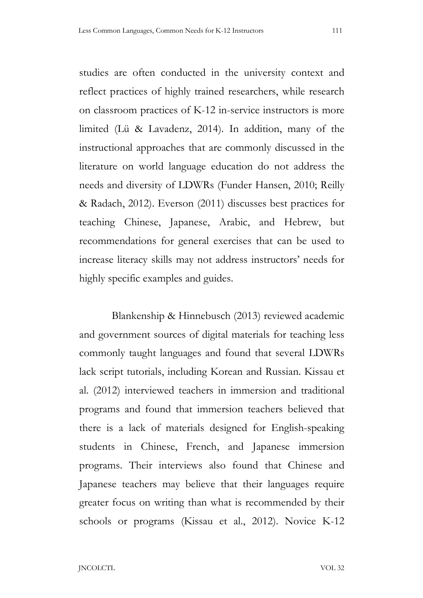studies are often conducted in the university context and reflect practices of highly trained researchers, while research on classroom practices of K-12 in-service instructors is more limited (Lü & Lavadenz, 2014). In addition, many of the instructional approaches that are commonly discussed in the literature on world language education do not address the needs and diversity of LDWRs (Funder Hansen, 2010; Reilly & Radach, 2012). Everson (2011) discusses best practices for teaching Chinese, Japanese, Arabic, and Hebrew, but recommendations for general exercises that can be used to increase literacy skills may not address instructors' needs for highly specific examples and guides.

 Blankenship & Hinnebusch (2013) reviewed academic and government sources of digital materials for teaching less commonly taught languages and found that several LDWRs lack script tutorials, including Korean and Russian. Kissau et al. (2012) interviewed teachers in immersion and traditional programs and found that immersion teachers believed that there is a lack of materials designed for English-speaking students in Chinese, French, and Japanese immersion programs. Their interviews also found that Chinese and Japanese teachers may believe that their languages require greater focus on writing than what is recommended by their schools or programs (Kissau et al., 2012). Novice K-12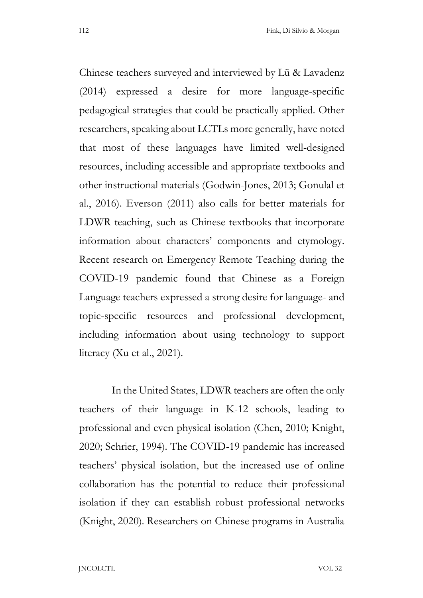Chinese teachers surveyed and interviewed by Lü & Lavadenz (2014) expressed a desire for more language-specific pedagogical strategies that could be practically applied. Other researchers, speaking about LCTLs more generally, have noted that most of these languages have limited well-designed resources, including accessible and appropriate textbooks and other instructional materials (Godwin-Jones, 2013; Gonulal et al., 2016). Everson (2011) also calls for better materials for LDWR teaching, such as Chinese textbooks that incorporate information about characters' components and etymology. Recent research on Emergency Remote Teaching during the COVID-19 pandemic found that Chinese as a Foreign Language teachers expressed a strong desire for language- and topic-specific resources and professional development, including information about using technology to support literacy (Xu et al., 2021).

 In the United States, LDWR teachers are often the only teachers of their language in K-12 schools, leading to professional and even physical isolation (Chen, 2010; Knight, 2020; Schrier, 1994). The COVID-19 pandemic has increased teachers' physical isolation, but the increased use of online collaboration has the potential to reduce their professional isolation if they can establish robust professional networks (Knight, 2020). Researchers on Chinese programs in Australia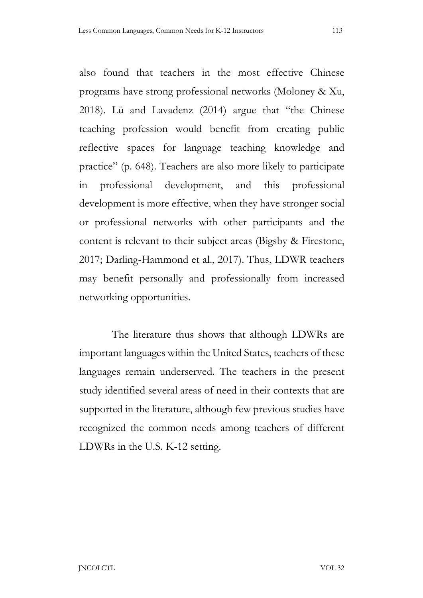also found that teachers in the most effective Chinese programs have strong professional networks (Moloney & Xu, 2018). Lü and Lavadenz (2014) argue that "the Chinese teaching profession would benefit from creating public reflective spaces for language teaching knowledge and practice" (p. 648). Teachers are also more likely to participate in professional development, and this professional development is more effective, when they have stronger social or professional networks with other participants and the content is relevant to their subject areas (Bigsby & Firestone, 2017; Darling-Hammond et al., 2017). Thus, LDWR teachers may benefit personally and professionally from increased networking opportunities.

 The literature thus shows that although LDWRs are important languages within the United States, teachers of these languages remain underserved. The teachers in the present study identified several areas of need in their contexts that are supported in the literature, although few previous studies have recognized the common needs among teachers of different LDWRs in the U.S. K-12 setting.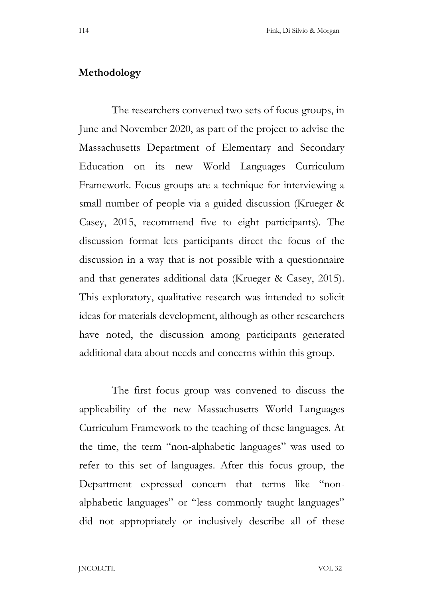### Methodology

 The researchers convened two sets of focus groups, in June and November 2020, as part of the project to advise the Massachusetts Department of Elementary and Secondary Education on its new World Languages Curriculum Framework. Focus groups are a technique for interviewing a small number of people via a guided discussion (Krueger & Casey, 2015, recommend five to eight participants). The discussion format lets participants direct the focus of the discussion in a way that is not possible with a questionnaire and that generates additional data (Krueger & Casey, 2015). This exploratory, qualitative research was intended to solicit ideas for materials development, although as other researchers have noted, the discussion among participants generated additional data about needs and concerns within this group.

 The first focus group was convened to discuss the applicability of the new Massachusetts World Languages Curriculum Framework to the teaching of these languages. At the time, the term "non-alphabetic languages" was used to refer to this set of languages. After this focus group, the Department expressed concern that terms like "non alphabetic languages" or "less commonly taught languages" did not appropriately or inclusively describe all of these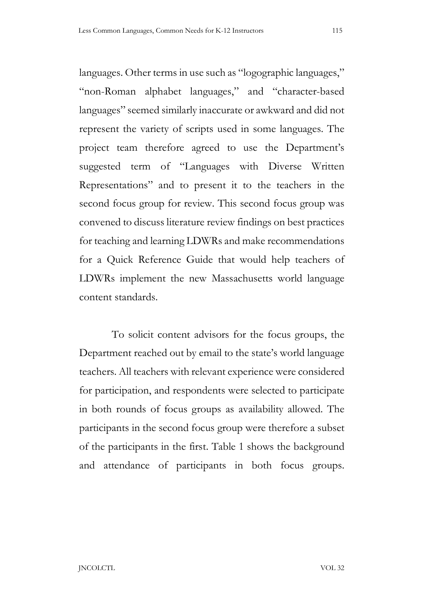languages. Other terms in use such as "logographic languages," "non-Roman alphabet languages," and "character-based languages" seemed similarly inaccurate or awkward and did not represent the variety of scripts used in some languages. The project team therefore agreed to use the Department's suggested term of "Languages with Diverse Written Representations" and to present it to the teachers in the second focus group for review. This second focus group was convened to discuss literature review findings on best practices for teaching and learning LDWRs and make recommendations for a Quick Reference Guide that would help teachers of LDWRs implement the new Massachusetts world language content standards.

 To solicit content advisors for the focus groups, the Department reached out by email to the state's world language teachers. All teachers with relevant experience were considered for participation, and respondents were selected to participate in both rounds of focus groups as availability allowed. The participants in the second focus group were therefore a subset of the participants in the first. Table 1 shows the background and attendance of participants in both focus groups.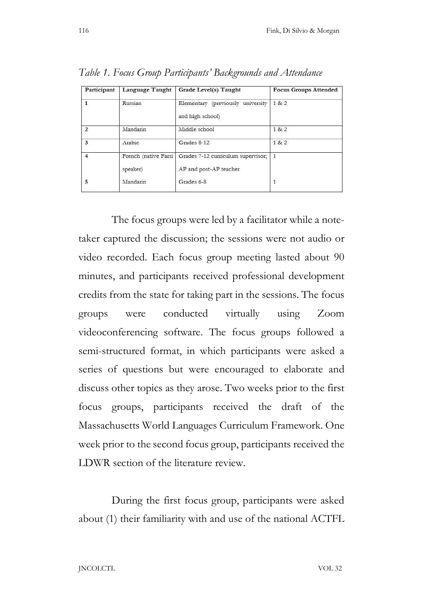| Participant             | <b>Language Taught</b>           | Grade Level(s) Taught                                        | <b>Focus Groups Attended</b> |
|-------------------------|----------------------------------|--------------------------------------------------------------|------------------------------|
| 1                       | Russian                          | Elementary (previously university<br>and high school)        | 1 & 2                        |
| $\overline{2}$          | Mandarin                         | Middle school                                                | 1 & 2                        |
| $\overline{\mathbf{3}}$ | Arabic                           | Grades 8-12                                                  | 1 & 2                        |
| $\overline{4}$          | French (native Farsi<br>speaker) | Grades 7-12 curriculum supervisor;<br>AP and post-AP teacher | - 1                          |
| 5                       | Mandarin                         | Grades 6-8                                                   | 1                            |

Table 1. Focus Group Participants' Backgrounds and Attendance

 The focus groups were led by a facilitator while a notetaker captured the discussion; the sessions were not audio or video recorded. Each focus group meeting lasted about 90 minutes, and participants received professional development credits from the state for taking part in the sessions. The focus groups were conducted virtually using Zoom videoconferencing software. The focus groups followed a semi-structured format, in which participants were asked a series of questions but were encouraged to elaborate and discuss other topics as they arose. Two weeks prior to the first focus groups, participants received the draft of the Massachusetts World Languages Curriculum Framework. One week prior to the second focus group, participants received the LDWR section of the literature review.

 During the first focus group, participants were asked about (1) their familiarity with and use of the national ACTFL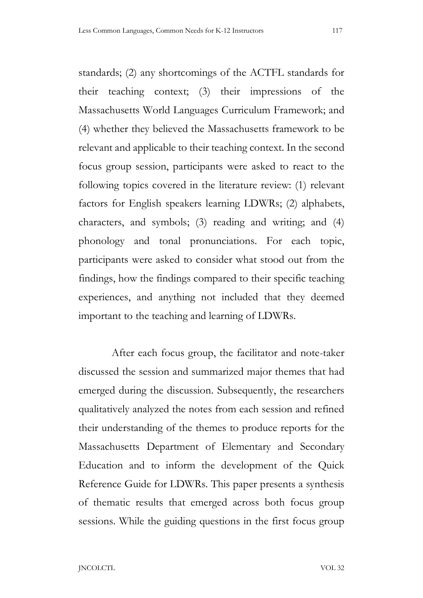standards; (2) any shortcomings of the ACTFL standards for their teaching context; (3) their impressions of the Massachusetts World Languages Curriculum Framework; and (4) whether they believed the Massachusetts framework to be relevant and applicable to their teaching context. In the second focus group session, participants were asked to react to the following topics covered in the literature review: (1) relevant factors for English speakers learning LDWRs; (2) alphabets, characters, and symbols; (3) reading and writing; and (4) phonology and tonal pronunciations. For each topic, participants were asked to consider what stood out from the findings, how the findings compared to their specific teaching experiences, and anything not included that they deemed important to the teaching and learning of LDWRs.

 After each focus group, the facilitator and note-taker discussed the session and summarized major themes that had emerged during the discussion. Subsequently, the researchers qualitatively analyzed the notes from each session and refined their understanding of the themes to produce reports for the Massachusetts Department of Elementary and Secondary Education and to inform the development of the Quick Reference Guide for LDWRs. This paper presents a synthesis of thematic results that emerged across both focus group sessions. While the guiding questions in the first focus group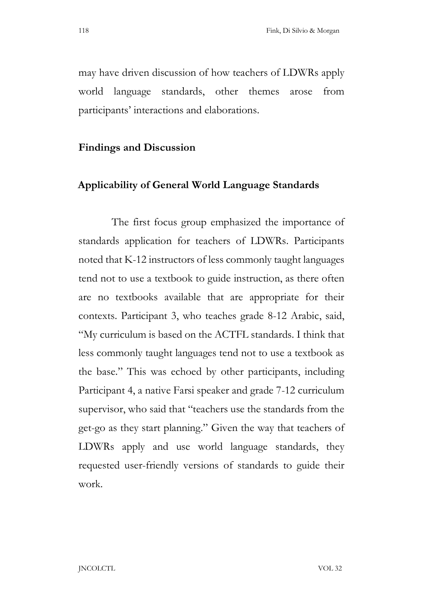may have driven discussion of how teachers of LDWRs apply world language standards, other themes arose from participants' interactions and elaborations.

#### Findings and Discussion

# Applicability of General World Language Standards

 The first focus group emphasized the importance of standards application for teachers of LDWRs. Participants noted that K-12 instructors of less commonly taught languages tend not to use a textbook to guide instruction, as there often are no textbooks available that are appropriate for their contexts. Participant 3, who teaches grade 8-12 Arabic, said, "My curriculum is based on the ACTFL standards. I think that less commonly taught languages tend not to use a textbook as the base." This was echoed by other participants, including Participant 4, a native Farsi speaker and grade 7-12 curriculum supervisor, who said that "teachers use the standards from the get-go as they start planning." Given the way that teachers of LDWRs apply and use world language standards, they requested user-friendly versions of standards to guide their work.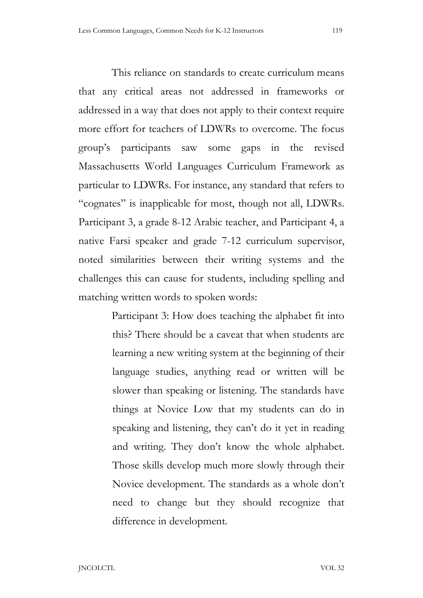This reliance on standards to create curriculum means that any critical areas not addressed in frameworks or addressed in a way that does not apply to their context require more effort for teachers of LDWRs to overcome. The focus group's participants saw some gaps in the revised Massachusetts World Languages Curriculum Framework as particular to LDWRs. For instance, any standard that refers to "cognates" is inapplicable for most, though not all, LDWRs. Participant 3, a grade 8-12 Arabic teacher, and Participant 4, a native Farsi speaker and grade 7-12 curriculum supervisor, noted similarities between their writing systems and the challenges this can cause for students, including spelling and matching written words to spoken words:

> Participant 3: How does teaching the alphabet fit into this? There should be a caveat that when students are learning a new writing system at the beginning of their language studies, anything read or written will be slower than speaking or listening. The standards have things at Novice Low that my students can do in speaking and listening, they can't do it yet in reading and writing. They don't know the whole alphabet. Those skills develop much more slowly through their Novice development. The standards as a whole don't need to change but they should recognize that difference in development.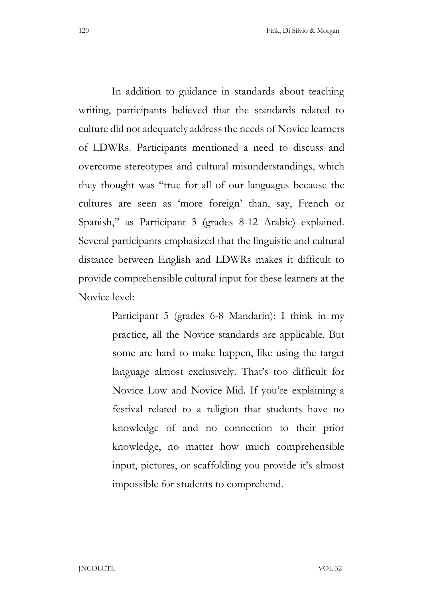In addition to guidance in standards about teaching writing, participants believed that the standards related to culture did not adequately address the needs of Novice learners of LDWRs. Participants mentioned a need to discuss and overcome stereotypes and cultural misunderstandings, which they thought was "true for all of our languages because the cultures are seen as 'more foreign' than, say, French or Spanish," as Participant 3 (grades 8-12 Arabic) explained. Several participants emphasized that the linguistic and cultural distance between English and LDWRs makes it difficult to provide comprehensible cultural input for these learners at the

Novice level:

Participant 5 (grades 6-8 Mandarin): I think in my practice, all the Novice standards are applicable. But some are hard to make happen, like using the target language almost exclusively. That's too difficult for Novice Low and Novice Mid. If you're explaining a festival related to a religion that students have no knowledge of and no connection to their prior knowledge, no matter how much comprehensible input, pictures, or scaffolding you provide it's almost impossible for students to comprehend.

JNCOLCTL VOL 32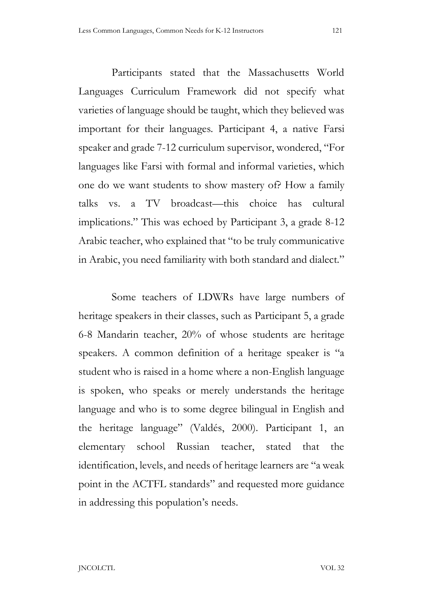Participants stated that the Massachusetts World Languages Curriculum Framework did not specify what varieties of language should be taught, which they believed was important for their languages. Participant 4, a native Farsi speaker and grade 7-12 curriculum supervisor, wondered, "For languages like Farsi with formal and informal varieties, which one do we want students to show mastery of? How a family talks vs. a TV broadcast—this choice has cultural implications." This was echoed by Participant 3, a grade 8-12 Arabic teacher, who explained that "to be truly communicative in Arabic, you need familiarity with both standard and dialect."

 Some teachers of LDWRs have large numbers of heritage speakers in their classes, such as Participant 5, a grade 6-8 Mandarin teacher, 20% of whose students are heritage speakers. A common definition of a heritage speaker is "a student who is raised in a home where a non-English language is spoken, who speaks or merely understands the heritage language and who is to some degree bilingual in English and the heritage language" (Valdés, 2000). Participant 1, an elementary school Russian teacher, stated that the identification, levels, and needs of heritage learners are "a weak point in the ACTFL standards" and requested more guidance in addressing this population's needs.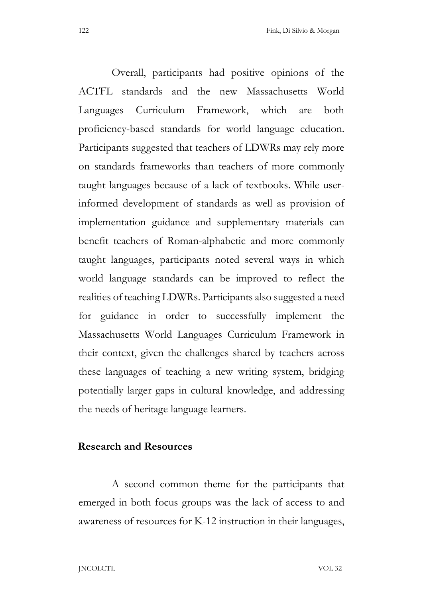Overall, participants had positive opinions of the ACTFL standards and the new Massachusetts World Languages Curriculum Framework, which are both proficiency-based standards for world language education. Participants suggested that teachers of LDWRs may rely more on standards frameworks than teachers of more commonly taught languages because of a lack of textbooks. While userinformed development of standards as well as provision of implementation guidance and supplementary materials can benefit teachers of Roman-alphabetic and more commonly taught languages, participants noted several ways in which world language standards can be improved to reflect the realities of teaching LDWRs. Participants also suggested a need for guidance in order to successfully implement the Massachusetts World Languages Curriculum Framework in their context, given the challenges shared by teachers across these languages of teaching a new writing system, bridging potentially larger gaps in cultural knowledge, and addressing the needs of heritage language learners.

#### Research and Resources

 A second common theme for the participants that emerged in both focus groups was the lack of access to and awareness of resources for K-12 instruction in their languages,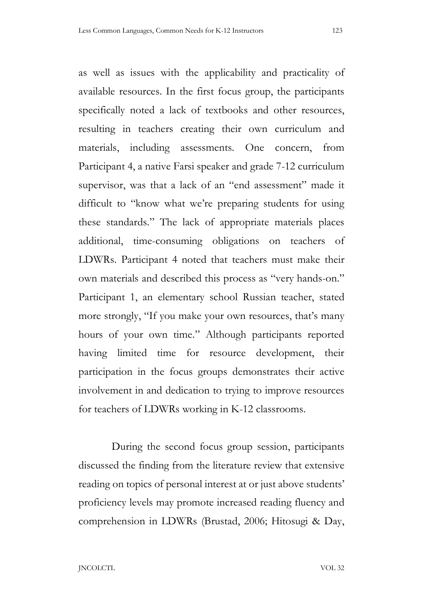as well as issues with the applicability and practicality of available resources. In the first focus group, the participants specifically noted a lack of textbooks and other resources, resulting in teachers creating their own curriculum and materials, including assessments. One concern, from Participant 4, a native Farsi speaker and grade 7-12 curriculum supervisor, was that a lack of an "end assessment" made it difficult to "know what we're preparing students for using these standards." The lack of appropriate materials places additional, time-consuming obligations on teachers of LDWRs. Participant 4 noted that teachers must make their own materials and described this process as "very hands-on." Participant 1, an elementary school Russian teacher, stated more strongly, "If you make your own resources, that's many hours of your own time." Although participants reported having limited time for resource development, their participation in the focus groups demonstrates their active involvement in and dedication to trying to improve resources for teachers of LDWRs working in K-12 classrooms.

 During the second focus group session, participants discussed the finding from the literature review that extensive reading on topics of personal interest at or just above students' proficiency levels may promote increased reading fluency and comprehension in LDWRs (Brustad, 2006; Hitosugi & Day,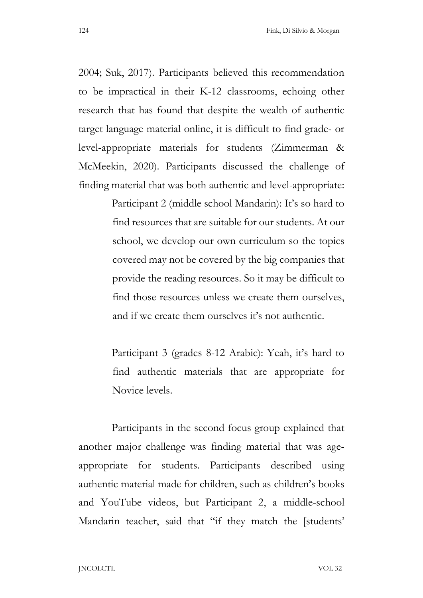2004; Suk, 2017). Participants believed this recommendation to be impractical in their K-12 classrooms, echoing other research that has found that despite the wealth of authentic target language material online, it is difficult to find grade- or level-appropriate materials for students (Zimmerman & McMeekin, 2020). Participants discussed the challenge of finding material that was both authentic and level-appropriate:

> Participant 2 (middle school Mandarin): It's so hard to find resources that are suitable for our students. At our school, we develop our own curriculum so the topics covered may not be covered by the big companies that provide the reading resources. So it may be difficult to find those resources unless we create them ourselves, and if we create them ourselves it's not authentic.

> Participant 3 (grades 8-12 Arabic): Yeah, it's hard to find authentic materials that are appropriate for Novice levels.

 Participants in the second focus group explained that another major challenge was finding material that was ageappropriate for students. Participants described using authentic material made for children, such as children's books and YouTube videos, but Participant 2, a middle-school Mandarin teacher, said that "if they match the [students'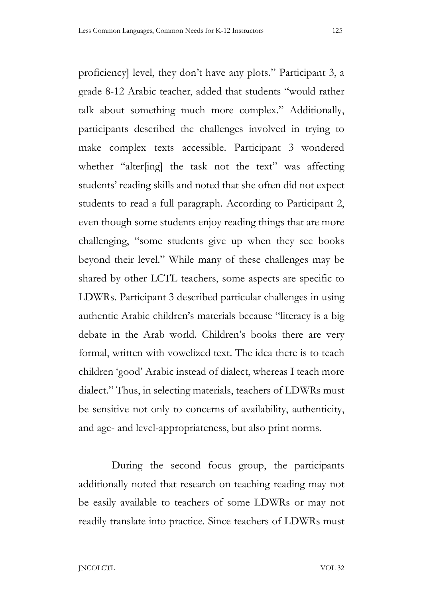proficiency] level, they don't have any plots." Participant 3, a grade 8-12 Arabic teacher, added that students "would rather talk about something much more complex." Additionally, participants described the challenges involved in trying to make complex texts accessible. Participant 3 wondered whether "alter[ing] the task not the text" was affecting students' reading skills and noted that she often did not expect students to read a full paragraph. According to Participant 2, even though some students enjoy reading things that are more challenging, "some students give up when they see books beyond their level." While many of these challenges may be shared by other LCTL teachers, some aspects are specific to LDWRs. Participant 3 described particular challenges in using authentic Arabic children's materials because "literacy is a big debate in the Arab world. Children's books there are very formal, written with vowelized text. The idea there is to teach children 'good' Arabic instead of dialect, whereas I teach more dialect." Thus, in selecting materials, teachers of LDWRs must be sensitive not only to concerns of availability, authenticity, and age- and level-appropriateness, but also print norms.

 During the second focus group, the participants additionally noted that research on teaching reading may not be easily available to teachers of some LDWRs or may not readily translate into practice. Since teachers of LDWRs must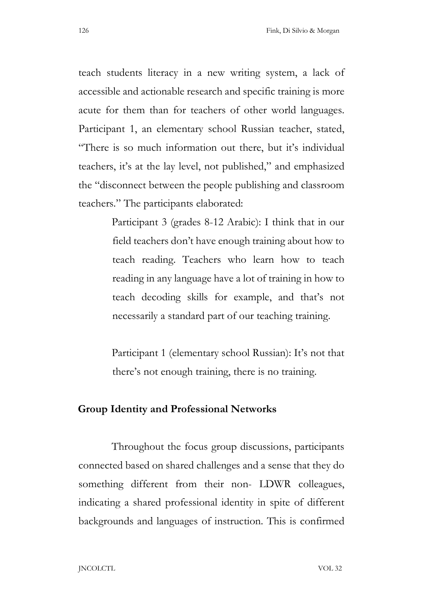teach students literacy in a new writing system, a lack of accessible and actionable research and specific training is more acute for them than for teachers of other world languages. Participant 1, an elementary school Russian teacher, stated, "There is so much information out there, but it's individual teachers, it's at the lay level, not published," and emphasized the "disconnect between the people publishing and classroom teachers." The participants elaborated:

> Participant 3 (grades 8-12 Arabic): I think that in our field teachers don't have enough training about how to teach reading. Teachers who learn how to teach reading in any language have a lot of training in how to teach decoding skills for example, and that's not necessarily a standard part of our teaching training.

> Participant 1 (elementary school Russian): It's not that there's not enough training, there is no training.

### Group Identity and Professional Networks

 Throughout the focus group discussions, participants connected based on shared challenges and a sense that they do something different from their non- LDWR colleagues, indicating a shared professional identity in spite of different backgrounds and languages of instruction. This is confirmed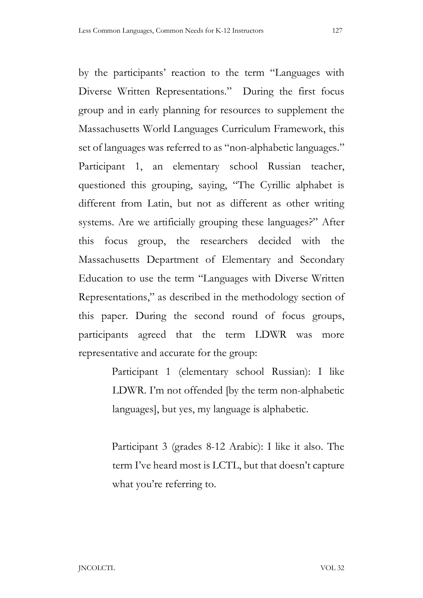by the participants' reaction to the term "Languages with Diverse Written Representations." During the first focus group and in early planning for resources to supplement the Massachusetts World Languages Curriculum Framework, this set of languages was referred to as "non-alphabetic languages." Participant 1, an elementary school Russian teacher, questioned this grouping, saying, "The Cyrillic alphabet is different from Latin, but not as different as other writing systems. Are we artificially grouping these languages?" After this focus group, the researchers decided with the Massachusetts Department of Elementary and Secondary Education to use the term "Languages with Diverse Written Representations," as described in the methodology section of this paper. During the second round of focus groups, participants agreed that the term LDWR was more representative and accurate for the group:

> Participant 1 (elementary school Russian): I like LDWR. I'm not offended [by the term non-alphabetic languages], but yes, my language is alphabetic.

> Participant 3 (grades 8-12 Arabic): I like it also. The term I've heard most is LCTL, but that doesn't capture what you're referring to.

JNCOLCTL VOL 32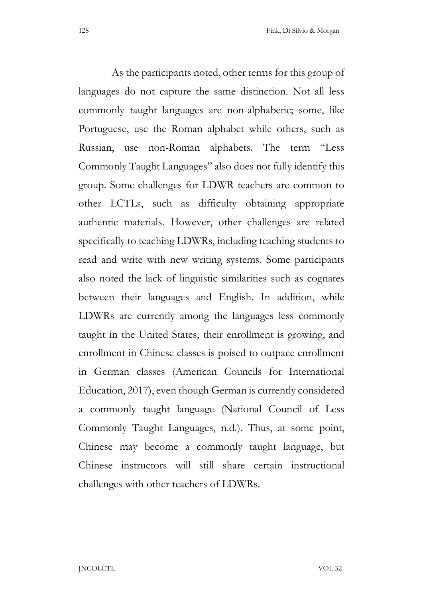As the participants noted, other terms for this group of languages do not capture the same distinction. Not all less commonly taught languages are non-alphabetic; some, like Portuguese, use the Roman alphabet while others, such as Russian, use non-Roman alphabets. The term "Less Commonly Taught Languages" also does not fully identify this group. Some challenges for LDWR teachers are common to other LCTLs, such as difficulty obtaining appropriate authentic materials. However, other challenges are related specifically to teaching LDWRs, including teaching students to read and write with new writing systems. Some participants also noted the lack of linguistic similarities such as cognates between their languages and English. In addition, while LDWRs are currently among the languages less commonly taught in the United States, their enrollment is growing, and enrollment in Chinese classes is poised to outpace enrollment in German classes (American Councils for International Education, 2017), even though German is currently considered a commonly taught language (National Council of Less Commonly Taught Languages, n.d.). Thus, at some point, Chinese may become a commonly taught language, but Chinese instructors will still share certain instructional challenges with other teachers of LDWRs.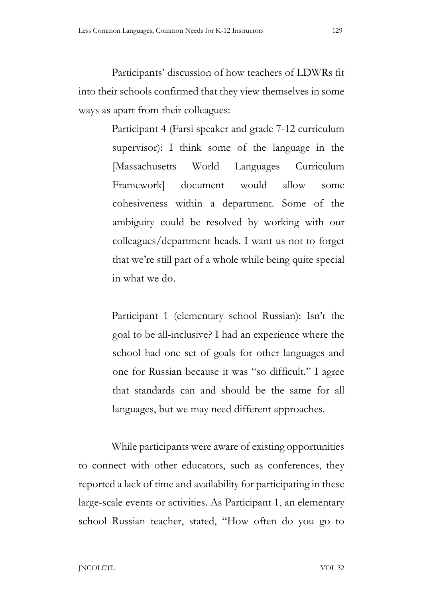Participants' discussion of how teachers of LDWRs fit into their schools confirmed that they view themselves in some ways as apart from their colleagues:

> Participant 4 (Farsi speaker and grade 7-12 curriculum supervisor): I think some of the language in the [Massachusetts World Languages Curriculum Framework] document would allow some cohesiveness within a department. Some of the ambiguity could be resolved by working with our colleagues/department heads. I want us not to forget that we're still part of a whole while being quite special in what we do.

> Participant 1 (elementary school Russian): Isn't the goal to be all-inclusive? I had an experience where the school had one set of goals for other languages and one for Russian because it was "so difficult." I agree that standards can and should be the same for all languages, but we may need different approaches.

 While participants were aware of existing opportunities to connect with other educators, such as conferences, they reported a lack of time and availability for participating in these large-scale events or activities. As Participant 1, an elementary school Russian teacher, stated, "How often do you go to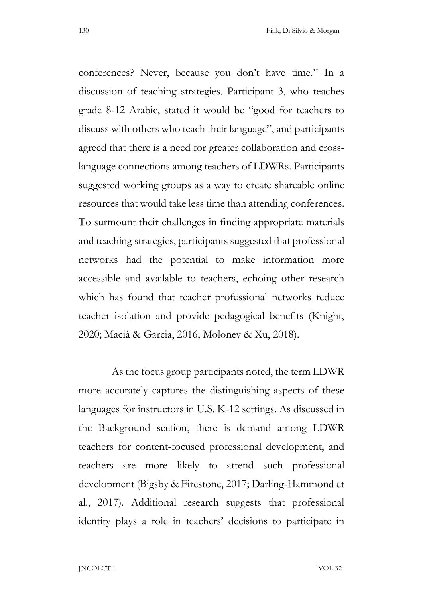conferences? Never, because you don't have time." In a discussion of teaching strategies, Participant 3, who teaches grade 8-12 Arabic, stated it would be "good for teachers to discuss with others who teach their language", and participants agreed that there is a need for greater collaboration and crosslanguage connections among teachers of LDWRs. Participants suggested working groups as a way to create shareable online resources that would take less time than attending conferences. To surmount their challenges in finding appropriate materials and teaching strategies, participants suggested that professional networks had the potential to make information more accessible and available to teachers, echoing other research which has found that teacher professional networks reduce teacher isolation and provide pedagogical benefits (Knight, 2020; Macià & Garcia, 2016; Moloney & Xu, 2018).

 As the focus group participants noted, the term LDWR more accurately captures the distinguishing aspects of these languages for instructors in U.S. K-12 settings. As discussed in the Background section, there is demand among LDWR teachers for content-focused professional development, and teachers are more likely to attend such professional development (Bigsby & Firestone, 2017; Darling-Hammond et al., 2017). Additional research suggests that professional identity plays a role in teachers' decisions to participate in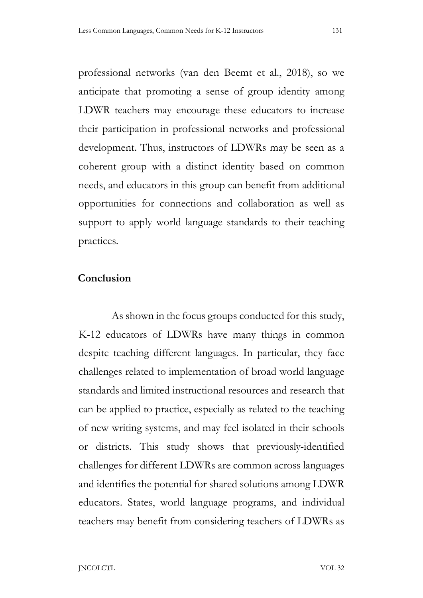professional networks (van den Beemt et al., 2018), so we anticipate that promoting a sense of group identity among LDWR teachers may encourage these educators to increase their participation in professional networks and professional development. Thus, instructors of LDWRs may be seen as a coherent group with a distinct identity based on common needs, and educators in this group can benefit from additional opportunities for connections and collaboration as well as support to apply world language standards to their teaching practices.

# Conclusion

 As shown in the focus groups conducted for this study, K-12 educators of LDWRs have many things in common despite teaching different languages. In particular, they face challenges related to implementation of broad world language standards and limited instructional resources and research that can be applied to practice, especially as related to the teaching of new writing systems, and may feel isolated in their schools or districts. This study shows that previously-identified challenges for different LDWRs are common across languages and identifies the potential for shared solutions among LDWR educators. States, world language programs, and individual teachers may benefit from considering teachers of LDWRs as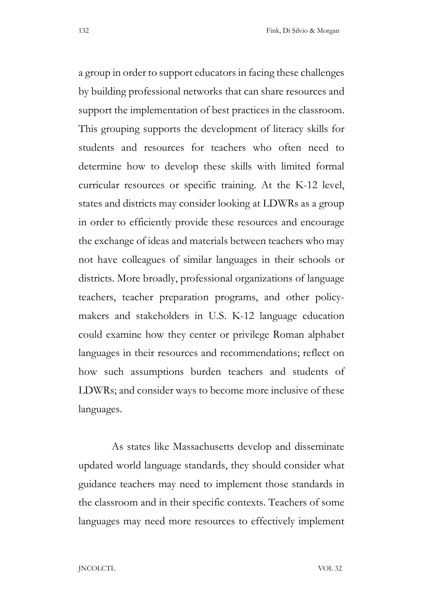a group in order to support educators in facing these challenges by building professional networks that can share resources and support the implementation of best practices in the classroom. This grouping supports the development of literacy skills for students and resources for teachers who often need to determine how to develop these skills with limited formal curricular resources or specific training. At the K-12 level, states and districts may consider looking at LDWRs as a group in order to efficiently provide these resources and encourage the exchange of ideas and materials between teachers who may not have colleagues of similar languages in their schools or districts. More broadly, professional organizations of language teachers, teacher preparation programs, and other policymakers and stakeholders in U.S. K-12 language education could examine how they center or privilege Roman alphabet languages in their resources and recommendations; reflect on how such assumptions burden teachers and students of LDWRs; and consider ways to become more inclusive of these languages.

 As states like Massachusetts develop and disseminate updated world language standards, they should consider what guidance teachers may need to implement those standards in the classroom and in their specific contexts. Teachers of some languages may need more resources to effectively implement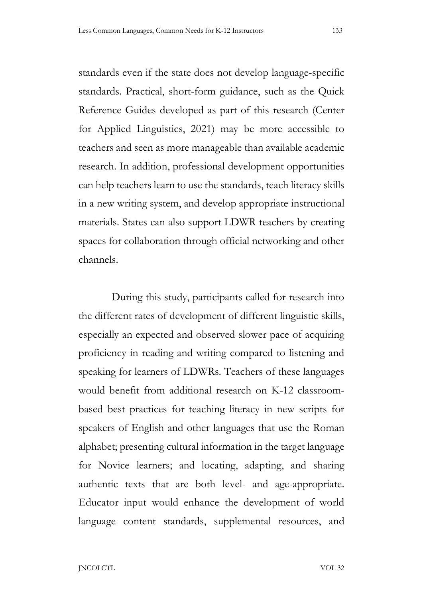standards even if the state does not develop language-specific standards. Practical, short-form guidance, such as the Quick Reference Guides developed as part of this research (Center for Applied Linguistics, 2021) may be more accessible to teachers and seen as more manageable than available academic research. In addition, professional development opportunities can help teachers learn to use the standards, teach literacy skills in a new writing system, and develop appropriate instructional materials. States can also support LDWR teachers by creating spaces for collaboration through official networking and other channels.

 During this study, participants called for research into the different rates of development of different linguistic skills, especially an expected and observed slower pace of acquiring proficiency in reading and writing compared to listening and speaking for learners of LDWRs. Teachers of these languages would benefit from additional research on K-12 classroombased best practices for teaching literacy in new scripts for speakers of English and other languages that use the Roman alphabet; presenting cultural information in the target language for Novice learners; and locating, adapting, and sharing authentic texts that are both level- and age-appropriate. Educator input would enhance the development of world language content standards, supplemental resources, and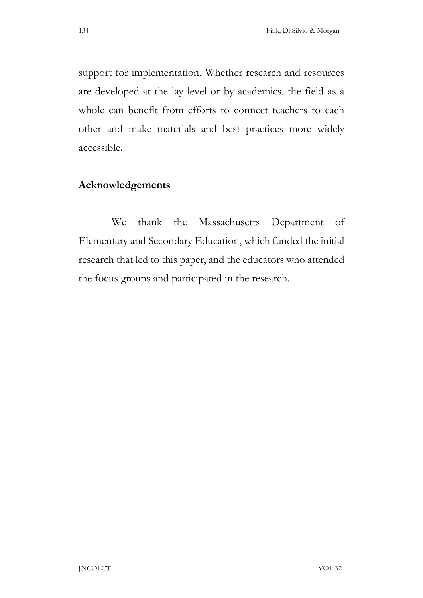support for implementation. Whether research and resources are developed at the lay level or by academics, the field as a whole can benefit from efforts to connect teachers to each other and make materials and best practices more widely accessible.

# Acknowledgements

 We thank the Massachusetts Department of Elementary and Secondary Education, which funded the initial research that led to this paper, and the educators who attended the focus groups and participated in the research.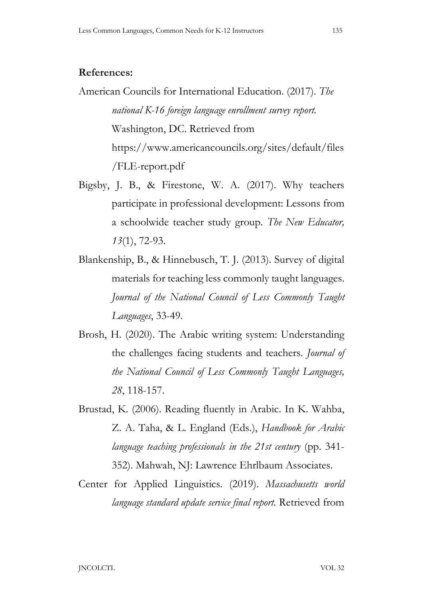#### References:

- American Councils for International Education. (2017). The national K-16 foreign language enrollment survey report. Washington, DC. Retrieved from https://www.americancouncils.org/sites/default/files /FLE-report.pdf
- Bigsby, J. B., & Firestone, W. A. (2017). Why teachers participate in professional development: Lessons from a schoolwide teacher study group. The New Educator, 13(1), 72-93.
- Blankenship, B., & Hinnebusch, T. J. (2013). Survey of digital materials for teaching less commonly taught languages. Journal of the National Council of Less Commonly Taught Languages, 33-49.
- Brosh, H. (2020). The Arabic writing system: Understanding the challenges facing students and teachers. Journal of the National Council of Less Commonly Taught Languages, 28, 118-157.
- Brustad, K. (2006). Reading fluently in Arabic. In K. Wahba, Z. A. Taha, & L. England (Eds.), Handbook for Arabic language teaching professionals in the 21st century (pp. 341-352). Mahwah, NJ: Lawrence Ehrlbaum Associates.
- Center for Applied Linguistics. (2019). Massachusetts world language standard update service final report. Retrieved from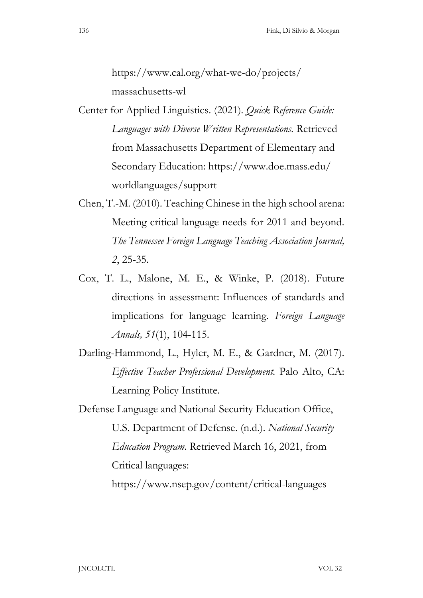https://www.cal.org/what-we-do/projects/ massachusetts-wl

- Center for Applied Linguistics. (2021). Quick Reference Guide: Languages with Diverse Written Representations. Retrieved from Massachusetts Department of Elementary and Secondary Education: https://www.doe.mass.edu/ worldlanguages/support
- Chen, T.-M. (2010). Teaching Chinese in the high school arena: Meeting critical language needs for 2011 and beyond. The Tennessee Foreign Language Teaching Association Journal, 2, 25-35.
- Cox, T. L., Malone, M. E., & Winke, P. (2018). Future directions in assessment: Influences of standards and implications for language learning. Foreign Language Annals, 51(1), 104-115.
- Darling-Hammond, L., Hyler, M. E., & Gardner, M. (2017). Effective Teacher Professional Development. Palo Alto, CA: Learning Policy Institute.
- Defense Language and National Security Education Office, U.S. Department of Defense. (n.d.). National Security Education Program. Retrieved March 16, 2021, from Critical languages: https://www.nsep.gov/content/critical-languages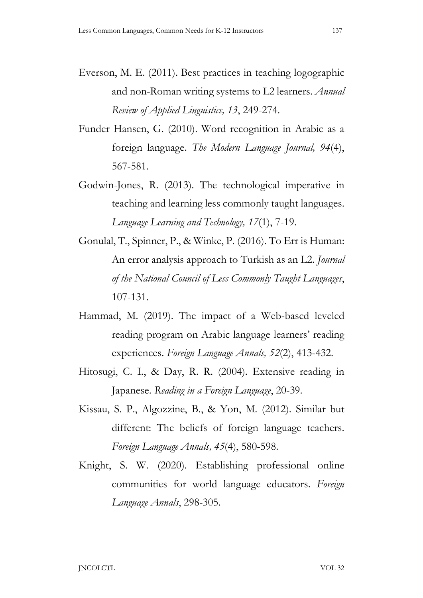- Everson, M. E. (2011). Best practices in teaching logographic and non-Roman writing systems to L2 learners. Annual Review of Applied Linguistics, 13, 249-274.
- Funder Hansen, G. (2010). Word recognition in Arabic as a foreign language. The Modern Language Journal, 94(4), 567-581.
- Godwin-Jones, R. (2013). The technological imperative in teaching and learning less commonly taught languages. Language Learning and Technology, 17(1), 7-19.
- Gonulal, T., Spinner, P., & Winke, P. (2016). To Err is Human: An error analysis approach to Turkish as an L2. *Journal* of the National Council of Less Commonly Taught Languages, 107-131.
- Hammad, M. (2019). The impact of a Web-based leveled reading program on Arabic language learners' reading experiences. Foreign Language Annals, 52(2), 413-432.
- Hitosugi, C. I., & Day, R. R. (2004). Extensive reading in Japanese. Reading in a Foreign Language, 20-39.
- Kissau, S. P., Algozzine, B., & Yon, M. (2012). Similar but different: The beliefs of foreign language teachers. Foreign Language Annals, 45(4), 580-598.
- Knight, S. W. (2020). Establishing professional online communities for world language educators. Foreign Language Annals, 298-305.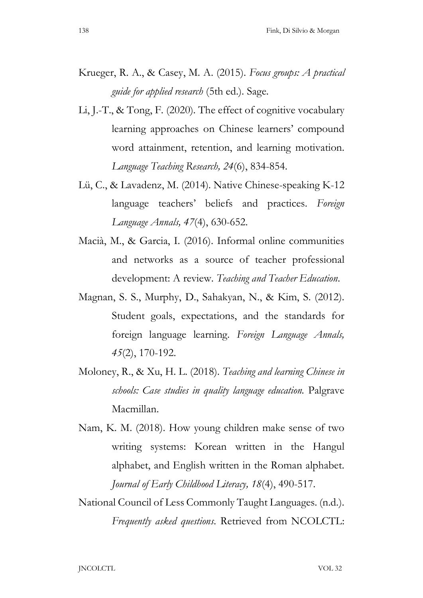- Krueger, R. A., & Casey, M. A. (2015). Focus groups: A practical guide for applied research (5th ed.). Sage.
- Li, J.-T., & Tong, F. (2020). The effect of cognitive vocabulary learning approaches on Chinese learners' compound word attainment, retention, and learning motivation. Language Teaching Research, 24(6), 834-854.
- Lü, C., & Lavadenz, M. (2014). Native Chinese-speaking K-12 language teachers' beliefs and practices. Foreign Language Annals, 47(4), 630-652.
- Macià, M., & Garcia, I. (2016). Informal online communities and networks as a source of teacher professional development: A review. Teaching and Teacher Education.<br>Magnan, S. S., Murphy, D., Sahakyan, N., & Kim, S. (2012).
- Student goals, expectations, and the standards for foreign language learning. Foreign Language Annals, 45(2), 170-192.
- Moloney, R., & Xu, H. L. (2018). Teaching and learning Chinese in schools: Case studies in quality language education. Palgrave Macmillan.
- Nam, K. M. (2018). How young children make sense of two writing systems: Korean written in the Hangul alphabet, and English written in the Roman alphabet. Journal of Early Childhood Literacy, 18(4), 490-517.
- National Council of Less Commonly Taught Languages. (n.d.). Frequently asked questions. Retrieved from NCOLCTL: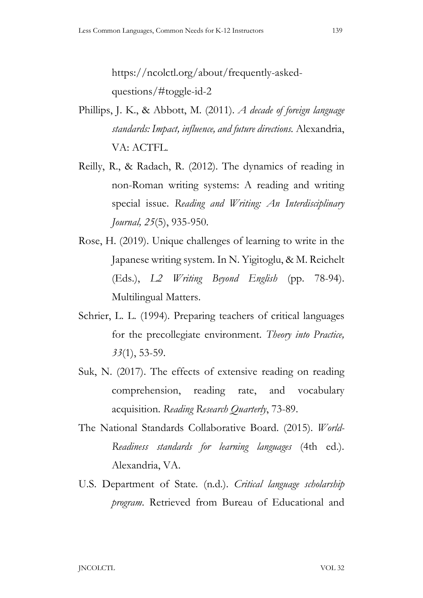https://ncolctl.org/about/frequently-askedquestions/#toggle-id-2

- Phillips, J. K., & Abbott, M. (2011). A decade of foreign language standards: Impact, influence, and future directions. Alexandria, VA: ACTFL.
- Reilly, R., & Radach, R. (2012). The dynamics of reading in non-Roman writing systems: A reading and writing special issue. Reading and Writing: An Interdisciplinary Journal, 25(5), 935-950.
- Rose, H. (2019). Unique challenges of learning to write in the Japanese writing system. In N. Yigitoglu, & M. Reichelt (Eds.), L2 Writing Beyond English (pp. 78-94). Multilingual Matters.
- Schrier, L. L. (1994). Preparing teachers of critical languages for the precollegiate environment. Theory into Practice, 33(1), 53-59.
- Suk, N. (2017). The effects of extensive reading on reading comprehension, reading rate, and vocabulary acquisition. Reading Research Quarterly, 73-89.
- The National Standards Collaborative Board. (2015). World-Readiness standards for learning languages (4th ed.). Alexandria, VA.
- U.S. Department of State. (n.d.). Critical language scholarship program. Retrieved from Bureau of Educational and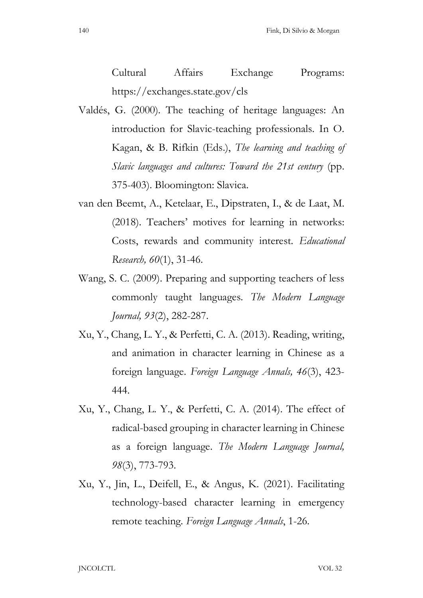Cultural Affairs Exchange Programs: https://exchanges.state.gov/cls

- Valdés, G. (2000). The teaching of heritage languages: An introduction for Slavic-teaching professionals. In O. Kagan, & B. Rifkin (Eds.), The learning and teaching of Slavic languages and cultures: Toward the 21st century (pp. 375-403). Bloomington: Slavica.
- van den Beemt, A., Ketelaar, E., Dipstraten, I., & de Laat, M. (2018). Teachers' motives for learning in networks: Costs, rewards and community interest. Educational Research, 60(1), 31-46.
- Wang, S. C. (2009). Preparing and supporting teachers of less commonly taught languages. The Modern Language Journal, 93(2), 282-287.
- Xu, Y., Chang, L. Y., & Perfetti, C. A. (2013). Reading, writing, and animation in character learning in Chinese as a foreign language. Foreign Language Annals, 46(3), 423- 444.
- Xu, Y., Chang, L. Y., & Perfetti, C. A. (2014). The effect of radical-based grouping in character learning in Chinese as a foreign language. The Modern Language Journal, 98(3), 773-793.
- Xu, Y., Jin, L., Deifell, E., & Angus, K. (2021). Facilitating technology-based character learning in emergency remote teaching. Foreign Language Annals, 1-26.